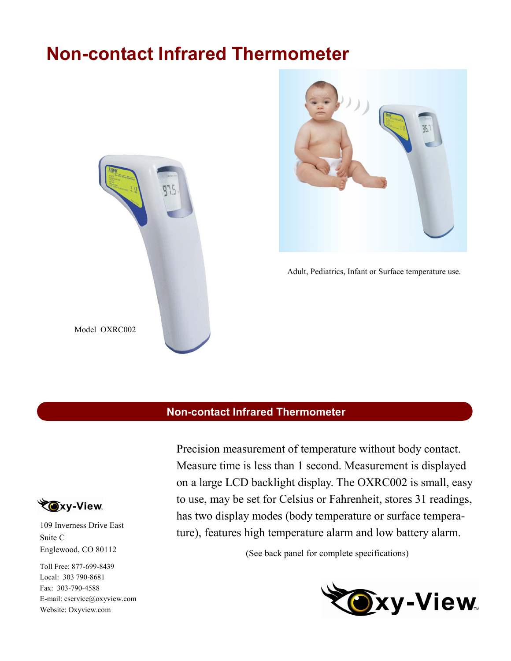# **Non-contact Infrared Thermometer**





Adult, Pediatrics, Infant or Surface temperature use.

## **Non-contact Infrared Thermometer**



109 Inverness Drive East Suite C Englewood, CO 80112

Toll Free: 877-699-8439 Local: 303 790-8681 Fax: 303-790-4588 E-mail: cservice@oxyview.com Website: Oxyview.com

Precision measurement of temperature without body contact. Measure time is less than 1 second. Measurement is displayed on a large LCD backlight display. The OXRC002 is small, easy to use, may be set for Celsius or Fahrenheit, stores 31 readings, has two display modes (body temperature or surface temperature), features high temperature alarm and low battery alarm.

(See back panel for complete specifications)